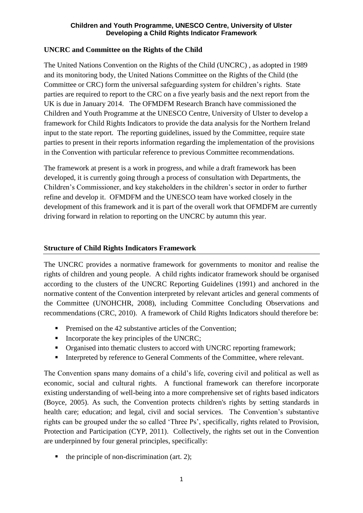# **UNCRC and Committee on the Rights of the Child**

The United Nations Convention on the Rights of the Child (UNCRC) , as adopted in 1989 and its monitoring body, the United Nations Committee on the Rights of the Child (the Committee or CRC) form the universal safeguarding system for children's rights. State parties are required to report to the CRC on a five yearly basis and the next report from the UK is due in January 2014. The OFMDFM Research Branch have commissioned the Children and Youth Programme at the UNESCO Centre, University of Ulster to develop a framework for Child Rights Indicators to provide the data analysis for the Northern Ireland input to the state report. The reporting guidelines, issued by the Committee, require state parties to present in their reports information regarding the implementation of the provisions in the Convention with particular reference to previous Committee recommendations.

The framework at present is a work in progress, and while a draft framework has been developed, it is currently going through a process of consultation with Departments, the Children's Commissioner, and key stakeholders in the children's sector in order to further refine and develop it. OFMDFM and the UNESCO team have worked closely in the development of this framework and it is part of the overall work that OFMDFM are currently driving forward in relation to reporting on the UNCRC by autumn this year.

# **Structure of Child Rights Indicators Framework**

The UNCRC provides a normative framework for governments to monitor and realise the rights of children and young people. A child rights indicator framework should be organised according to the clusters of the UNCRC Reporting Guidelines (1991) and anchored in the normative content of the Convention interpreted by relevant articles and general comments of the Committee (UNOHCHR, 2008), including Committee Concluding Observations and recommendations (CRC, 2010). A framework of Child Rights Indicators should therefore be:

- **Premised on the 42 substantive articles of the Convention;**
- $\blacksquare$  Incorporate the key principles of the UNCRC;
- Organised into thematic clusters to accord with UNCRC reporting framework;
- Interpreted by reference to General Comments of the Committee, where relevant.

The Convention spans many domains of a child's life, covering civil and political as well as economic, social and cultural rights. A functional framework can therefore incorporate existing understanding of well-being into a more comprehensive set of rights based indicators (Boyce, 2005). As such, the Convention protects children's rights by setting standards in health care; education; and legal, civil and social services. The Convention's substantive rights can be grouped under the so called 'Three Ps', specifically, rights related to Provision, Protection and Participation (CYP, 2011). Collectively, the rights set out in the Convention are underpinned by four general principles, specifically:

 $\blacksquare$  the principle of non-discrimination (art. 2);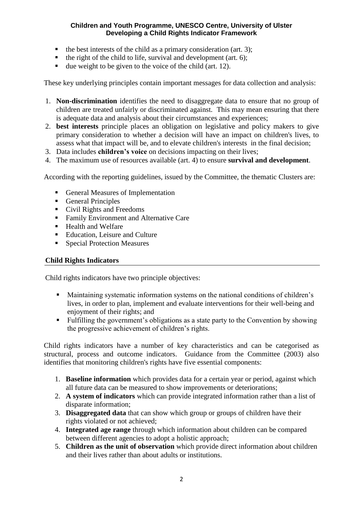- $\blacksquare$  the best interests of the child as a primary consideration (art. 3);
- $\blacksquare$  the right of the child to life, survival and development (art. 6);
- due weight to be given to the voice of the child (art. 12).

These key underlying principles contain important messages for data collection and analysis:

- 1. **Non-discrimination** identifies the need to disaggregate data to ensure that no group of children are treated unfairly or discriminated against. This may mean ensuring that there is adequate data and analysis about their circumstances and experiences;
- 2. **best interests** principle places an obligation on legislative and policy makers to give primary consideration to whether a decision will have an impact on children's lives, to assess what that impact will be, and to elevate children's interests in the final decision;
- 3. Data includes **children's voice** on decisions impacting on their lives;
- 4. The maximum use of resources available (art. 4) to ensure **survival and development**.

According with the reporting guidelines, issued by the Committee, the thematic Clusters are:

- General Measures of Implementation
- General Principles
- Civil Rights and Freedoms
- Family Environment and Alternative Care
- Health and Welfare
- Education, Leisure and Culture
- Special Protection Measures

### **Child Rights Indicators**

Child rights indicators have two principle objectives:

- Maintaining systematic information systems on the national conditions of children's lives, in order to plan, implement and evaluate interventions for their well-being and enjoyment of their rights; and
- Fulfilling the government's obligations as a state party to the Convention by showing the progressive achievement of children's rights.

Child rights indicators have a number of key characteristics and can be categorised as structural, process and outcome indicators. Guidance from the Committee (2003) also identifies that monitoring children's rights have five essential components:

- 1. **Baseline information** which provides data for a certain year or period, against which all future data can be measured to show improvements or deteriorations;
- 2. **A system of indicators** which can provide integrated information rather than a list of disparate information;
- 3. **Disaggregated data** that can show which group or groups of children have their rights violated or not achieved;
- 4. **Integrated age range** through which information about children can be compared between different agencies to adopt a holistic approach;
- 5. **Children as the unit of observation** which provide direct information about children and their lives rather than about adults or institutions.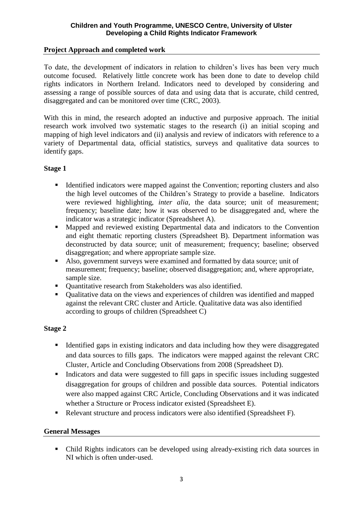# **Project Approach and completed work**

To date, the development of indicators in relation to children's lives has been very much outcome focused. Relatively little concrete work has been done to date to develop child rights indicators in Northern Ireland. Indicators need to developed by considering and assessing a range of possible sources of data and using data that is accurate, child centred, disaggregated and can be monitored over time (CRC, 2003).

With this in mind, the research adopted an inductive and purposive approach. The initial research work involved two systematic stages to the research (i) an initial scoping and mapping of high level indicators and (ii) analysis and review of indicators with reference to a variety of Departmental data, official statistics, surveys and qualitative data sources to identify gaps.

### **Stage 1**

- Identified indicators were mapped against the Convention; reporting clusters and also the high level outcomes of the Children's Strategy to provide a baseline. Indicators were reviewed highlighting, *inter alia*, the data source; unit of measurement; frequency; baseline date; how it was observed to be disaggregated and, where the indicator was a strategic indicator (Spreadsheet A).
- Mapped and reviewed existing Departmental data and indicators to the Convention and eight thematic reporting clusters (Spreadsheet B). Department information was deconstructed by data source; unit of measurement; frequency; baseline; observed disaggregation; and where appropriate sample size.
- Also, government surveys were examined and formatted by data source; unit of measurement; frequency; baseline; observed disaggregation; and, where appropriate, sample size.
- Quantitative research from Stakeholders was also identified.
- Qualitative data on the views and experiences of children was identified and mapped against the relevant CRC cluster and Article. Qualitative data was also identified according to groups of children (Spreadsheet C)

### **Stage 2**

- Identified gaps in existing indicators and data including how they were disaggregated and data sources to fills gaps. The indicators were mapped against the relevant CRC Cluster, Article and Concluding Observations from 2008 (Spreadsheet D).
- Indicators and data were suggested to fill gaps in specific issues including suggested disaggregation for groups of children and possible data sources. Potential indicators were also mapped against CRC Article, Concluding Observations and it was indicated whether a Structure or Process indicator existed (Spreadsheet E).
- Relevant structure and process indicators were also identified (Spreadsheet F).

### **General Messages**

 Child Rights indicators can be developed using already-existing rich data sources in NI which is often under-used.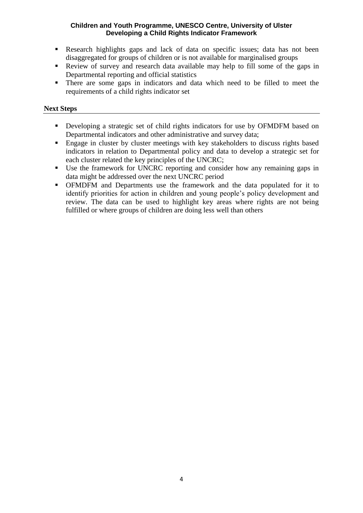- Research highlights gaps and lack of data on specific issues; data has not been disaggregated for groups of children or is not available for marginalised groups
- Review of survey and research data available may help to fill some of the gaps in Departmental reporting and official statistics
- There are some gaps in indicators and data which need to be filled to meet the requirements of a child rights indicator set

# **Next Steps**

- Developing a strategic set of child rights indicators for use by OFMDFM based on Departmental indicators and other administrative and survey data;
- Engage in cluster by cluster meetings with key stakeholders to discuss rights based indicators in relation to Departmental policy and data to develop a strategic set for each cluster related the key principles of the UNCRC;
- Use the framework for UNCRC reporting and consider how any remaining gaps in data might be addressed over the next UNCRC period
- OFMDFM and Departments use the framework and the data populated for it to identify priorities for action in children and young people's policy development and review. The data can be used to highlight key areas where rights are not being fulfilled or where groups of children are doing less well than others